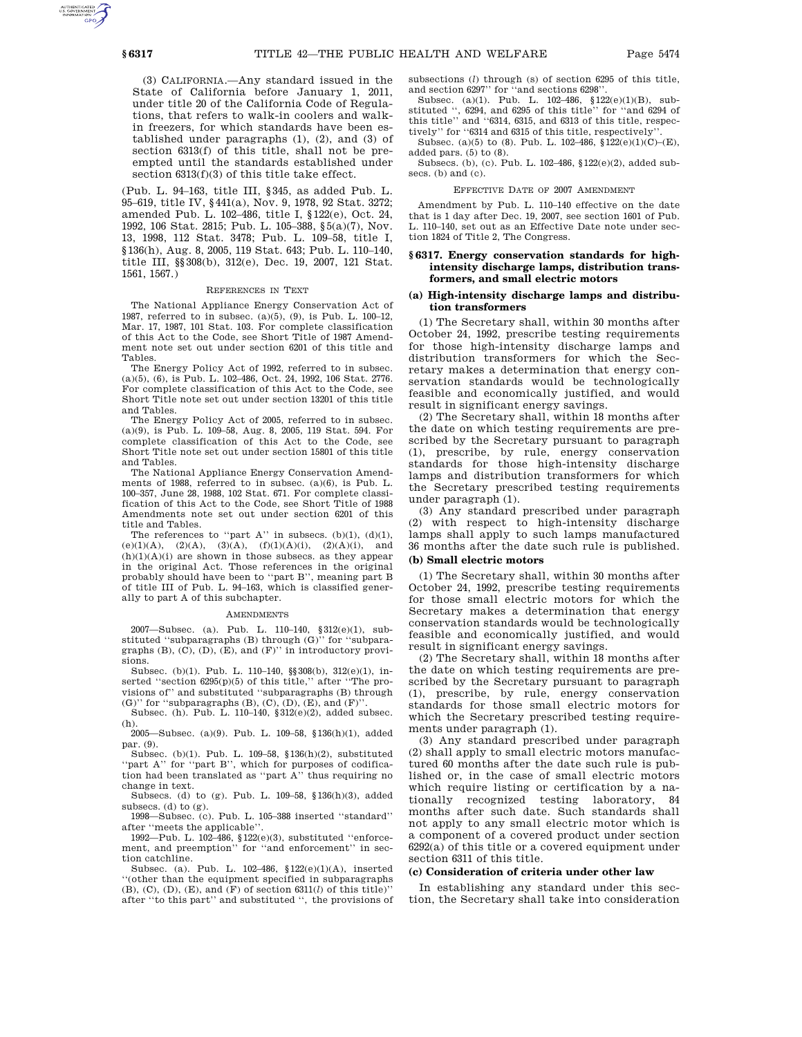(3) CALIFORNIA.—Any standard issued in the State of California before January 1, 2011, under title 20 of the California Code of Regulations, that refers to walk-in coolers and walkin freezers, for which standards have been established under paragraphs (1), (2), and (3) of section 6313(f) of this title, shall not be preempted until the standards established under section 6313(f)(3) of this title take effect.

(Pub. L. 94–163, title III, §345, as added Pub. L. 95–619, title IV, §441(a), Nov. 9, 1978, 92 Stat. 3272; amended Pub. L. 102–486, title I, §122(e), Oct. 24, 1992, 106 Stat. 2815; Pub. L. 105–388, §5(a)(7), Nov. 13, 1998, 112 Stat. 3478; Pub. L. 109–58, title I, §136(h), Aug. 8, 2005, 119 Stat. 643; Pub. L. 110–140, title III, §§308(b), 312(e), Dec. 19, 2007, 121 Stat. 1561, 1567.)

#### REFERENCES IN TEXT

The National Appliance Energy Conservation Act of 1987, referred to in subsec. (a)(5), (9), is Pub. L. 100–12, Mar. 17, 1987, 101 Stat. 103. For complete classification of this Act to the Code, see Short Title of 1987 Amendment note set out under section 6201 of this title and Tables.

The Energy Policy Act of 1992, referred to in subsec. (a)(5), (6), is Pub. L. 102–486, Oct. 24, 1992, 106 Stat. 2776. For complete classification of this Act to the Code, see Short Title note set out under section 13201 of this title and Tables.

The Energy Policy Act of 2005, referred to in subsec. (a)(9), is Pub. L. 109–58, Aug. 8, 2005, 119 Stat. 594. For complete classification of this Act to the Code, see Short Title note set out under section 15801 of this title and Tables.

The National Appliance Energy Conservation Amendments of 1988, referred to in subsec. (a)(6), is Pub. L. 100–357, June 28, 1988, 102 Stat. 671. For complete classification of this Act to the Code, see Short Title of 1988 Amendments note set out under section 6201 of this title and Tables.

The references to "part A" in subsecs.  $(b)(1)$ ,  $(d)(1)$ , (e)(1)(A), (2)(A), (3)(A), (f)(1)(A)(i), (2)(A)(i), and  $(h)(1)(A)(i)$  are shown in those subsecs. as they appear in the original Act. Those references in the original probably should have been to ''part B'', meaning part B of title III of Pub. L. 94–163, which is classified generally to part A of this subchapter.

#### **AMENDMENTS**

2007—Subsec. (a). Pub. L. 110–140, §312(e)(1), substituted "subparagraphs (B) through  $(G)$ " for "subparagraphs  $(B)$ ,  $(C)$ ,  $(D)$ ,  $(E)$ , and  $(F)$ " in introductory provisions.

Subsec. (b)(1). Pub. L. 110–140, §§308(b), 312(e)(1), inserted "section 6295(p)(5) of this title," after "The provisions of'' and substituted ''subparagraphs (B) through (G)'' for "subparagraphs  $(B)$ ,  $(C)$ ,  $(D)$ ,  $(E)$ , and  $(F)$ " Subsec. (h). Pub. L. 110–140,  $$312(e)(2)$ , added subsec.

(h). 2005—Subsec. (a)(9). Pub. L. 109–58, §136(h)(1), added

par. (9).

Subsec. (b)(1). Pub. L. 109–58, §136(h)(2), substituted ''part A'' for ''part B'', which for purposes of codification had been translated as "part  $\mathbf{A}$  " thus requiring no change in text.

Subsecs. (d) to (g). Pub. L. 109–58, §136(h)(3), added subsecs. (d) to  $(g)$ .

1998—Subsec. (c). Pub. L. 105–388 inserted ''standard'' after ''meets the applicable''.

1992—Pub. L. 102–486, §122(e)(3), substituted ''enforcement, and preemption'' for ''and enforcement'' in section catchline.

Subsec. (a). Pub. L. 102–486, §122(e)(1)(A), inserted ''(other than the equipment specified in subparagraphs  $(B)$ ,  $(C)$ ,  $(D)$ ,  $(E)$ , and  $(F)$  of section  $6311(l)$  of this title)' after ''to this part'' and substituted '', the provisions of subsections (*l*) through (s) of section 6295 of this title, and section 6297'' for ''and sections 6298''.

Subsec. (a)(1). Pub. L. 102–486, §122(e)(1)(B), substituted '', 6294, and 6295 of this title'' for ''and 6294 of this title'' and ''6314, 6315, and 6313 of this title, respectively'' for ''6314 and 6315 of this title, respectively''.

Subsec. (a)(5) to (8). Pub. L. 102-486,  $$122(e)(1)(C)–(E)$ , added pars.  $(5)$  to  $(8)$ .

Subsecs. (b), (c). Pub. L. 102–486, §122(e)(2), added subsecs. (b) and (c).

#### EFFECTIVE DATE OF 2007 AMENDMENT

Amendment by Pub. L. 110–140 effective on the date that is 1 day after Dec. 19, 2007, see section 1601 of Pub. L. 110–140, set out as an Effective Date note under section 1824 of Title 2, The Congress.

# **§ 6317. Energy conservation standards for highintensity discharge lamps, distribution transformers, and small electric motors**

## **(a) High-intensity discharge lamps and distribution transformers**

(1) The Secretary shall, within 30 months after October 24, 1992, prescribe testing requirements for those high-intensity discharge lamps and distribution transformers for which the Secretary makes a determination that energy conservation standards would be technologically feasible and economically justified, and would result in significant energy savings.

(2) The Secretary shall, within 18 months after the date on which testing requirements are prescribed by the Secretary pursuant to paragraph (1), prescribe, by rule, energy conservation standards for those high-intensity discharge lamps and distribution transformers for which the Secretary prescribed testing requirements under paragraph (1).

(3) Any standard prescribed under paragraph (2) with respect to high-intensity discharge lamps shall apply to such lamps manufactured 36 months after the date such rule is published.

# **(b) Small electric motors**

(1) The Secretary shall, within 30 months after October 24, 1992, prescribe testing requirements for those small electric motors for which the Secretary makes a determination that energy conservation standards would be technologically feasible and economically justified, and would result in significant energy savings.

(2) The Secretary shall, within 18 months after the date on which testing requirements are prescribed by the Secretary pursuant to paragraph (1), prescribe, by rule, energy conservation standards for those small electric motors for which the Secretary prescribed testing requirements under paragraph (1).

(3) Any standard prescribed under paragraph (2) shall apply to small electric motors manufactured 60 months after the date such rule is published or, in the case of small electric motors which require listing or certification by a nationally recognized testing laboratory, 84 months after such date. Such standards shall not apply to any small electric motor which is a component of a covered product under section 6292(a) of this title or a covered equipment under section 6311 of this title.

### **(c) Consideration of criteria under other law**

In establishing any standard under this section, the Secretary shall take into consideration